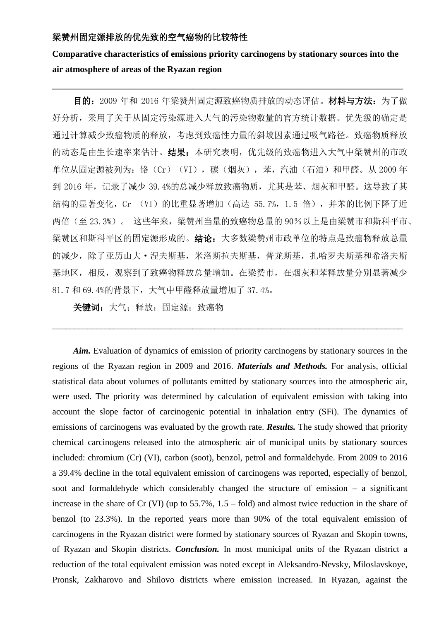### 梁赞州固定源排放的优先致的空气癌物的比较特性

# **Comparative characteristics of emissions priority carcinogens by stationary sources into the air atmosphere of areas of the Ryazan region**

 $\_$  ,  $\_$  ,  $\_$  ,  $\_$  ,  $\_$  ,  $\_$  ,  $\_$  ,  $\_$  ,  $\_$  ,  $\_$  ,  $\_$  ,  $\_$  ,  $\_$  ,  $\_$  ,  $\_$  ,  $\_$  ,  $\_$  ,  $\_$  ,  $\_$  ,  $\_$  ,  $\_$  ,  $\_$  ,  $\_$  ,  $\_$  ,  $\_$  ,  $\_$  ,  $\_$  ,  $\_$  ,  $\_$  ,  $\_$  ,  $\_$  ,  $\_$  ,  $\_$  ,  $\_$  ,  $\_$  ,  $\_$  ,  $\_$  ,

目的: 2009 年和 2016 年梁赞州固定源致癌物质排放的动态评估。材料与方法: 为了做 好分析,采用了关于从固定污染源进入大气的污染物数量的官方统计数据。优先级的确定是 通过计算减少致癌物质的释放,考虑到致癌性力量的斜坡因素通过吸气路径。致癌物质释放 的动态是由生长速率来估计。结果:本研究表明,优先级的致癌物进入大气中梁赞州的市政 单位从固定源被列为: 铬(Cr)(VI), 碳(烟灰), 苯, 汽油(石油)和甲醛。从 2009 年 到 2016 年,记录了减少 39.4%的总减少释放致癌物质,尤其是苯、烟灰和甲醛。这导致了其 结构的显著变化, Cr (VI)的比重显著增加 (高达 55.7%, 1.5 倍), 并苯的比例下降了近 两倍(至 23.3%)。 这些年来,梁赞州当量的致癌物总量的 90%以上是由梁赞市和斯科平市、 梁赞区和斯科平区的固定源形成的。结论:大多数梁赞州市政单位的特点是致癌物释放总量 的减少,除了亚历山大·涅夫斯基,米洛斯拉夫斯基,普龙斯基,扎哈罗夫斯基和希洛夫斯 基地区,相反,观察到了致癌物释放总量增加。在梁赞市,在烟灰和苯释放量分别显著减少 81.7 和 69.4%的背景下,大气中甲醛释放量增加了 37.4%。

\_\_\_\_\_\_\_\_\_\_\_\_\_\_\_\_\_\_\_\_\_\_\_\_\_\_\_\_\_\_\_\_\_\_\_\_\_\_\_\_\_\_\_\_\_\_\_\_\_\_\_\_\_\_\_\_\_\_\_\_\_\_\_\_\_\_\_\_\_\_\_\_\_\_\_\_\_\_\_\_

关键词: 大气; 释放; 固定源; 致癌物

*Aim.* Evaluation of dynamics of emission of priority carcinogens by stationary sources in the regions of the Ryazan region in 2009 and 2016. *Materials and Methods.* For analysis, official statistical data about volumes of pollutants emitted by stationary sources into the atmospheric air, were used. The priority was determined by calculation of equivalent emission with taking into account the slope factor of carcinogenic potential in inhalation entry (SFi). The dynamics of emissions of carcinogens was evaluated by the growth rate. *Results.* The study showed that priority chemical carcinogens released into the atmospheric air of municipal units by stationary sources included: chromium (Cr) (VI), carbon (soot), benzol, petrol and formaldehyde. From 2009 to 2016 a 39.4% decline in the total equivalent emission of carcinogens was reported, especially of benzol, soot and formaldehyde which considerably changed the structure of emission – a significant increase in the share of Cr (VI) (up to 55.7%, 1.5 – fold) and almost twice reduction in the share of benzol (to 23.3%). In the reported years more than 90% of the total equivalent emission of carcinogens in the Ryazan district were formed by stationary sources of Ryazan and Skopin towns, of Ryazan and Skopin districts. *Conclusion.* In most municipal units of the Ryazan district a reduction of the total equivalent emission was noted except in Aleksandro-Nevsky, Miloslavskoye, Pronsk, Zakharovo and Shilovo districts where emission increased. In Ryazan, against the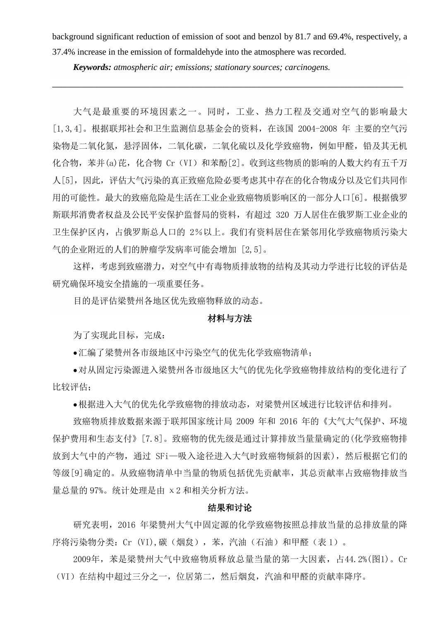background significant reduction of emission of soot and benzol by 81.7 and 69.4%, respectively, a 37.4% increase in the emission of formaldehyde into the atmosphere was recorded.

\_\_\_\_\_\_\_\_\_\_\_\_\_\_\_\_\_\_\_\_\_\_\_\_\_\_\_\_\_\_\_\_\_\_\_\_\_\_\_\_\_\_\_\_\_\_\_\_\_\_\_\_\_\_\_\_\_\_\_\_\_\_\_\_\_\_\_\_\_\_\_\_\_\_\_\_\_\_\_\_

*Keywords: atmospheric air; emissions; stationary sources; carcinogens.*

大气是最重要的环境因素之一。同时,工业、热力工程及交通对空气的影响最大 [1,3,4]。根据联邦社会和卫生监测信息基金会的资料,在该国 2004-2008 年 主要的空气污 染物是二氧化氮, 悬浮固体, 二氧化碳, 二氧化硫以及化学致癌物, 例如甲醛, 铅及其无机 化合物, 苯并(a)芘, 化合物 Cr (VI) 和苯酚[2]。收到这些物质的影响的人数大约有五千万 人[5],因此,评估大气污染的真正致癌危险必要考虑其中存在的化合物成分以及它们共同作 用的可能性。最大的致癌危险是生活在工业企业致癌物质影响区的一部分人口[6]。根据俄罗 斯联邦消费者权益及公民平安保护监督局的资料,有超过 320 万人居住在俄罗斯工业企业的 卫生保护区内,占俄罗斯总人口的 2%以上。我们有资料居住在紧邻用化学致癌物质污染大 气的企业附近的人们的肿瘤学发病率可能会增加 [2,5]。

这样,考虑到致癌潜力,对空气中有毒物质排放物的结构及其动力学进行比较的评估是 研究确保环境安全措施的一项重要任务。

目的是评估梁赞州各地区优先致癌物释放的动态。

#### 材料与方法

为了实现此目标,完成:

汇编了梁赞州各市级地区中污染空气的优先化学致癌物清单;

对从固定污染源进入梁赞州各市级地区大气的优先化学致癌物排放结构的变化进行了 比较评估;

根据进入大气的优先化学致癌物的排放动态,对梁赞州区域进行比较评估和排列。

致癌物质排放数据来源于联邦国家统计局 2009 年和 2016 年的《大气大气保护、环境 保护费用和生态支付》[7.8]。致癌物的优先级是通过计算排放当量量确定的(化学致癌物排 放到大气中的产物,通过 SFi一吸入途径进入大气时致癌物倾斜的因素),然后根据它们的 等级[9]确定的。从致癌物清单中当量的物质包括优先贡献率,其总贡献率占致癌物排放当 量总量的 97%。统计处理是由 χ2 和相关分析方法。

#### 结果和讨论

研究表明,2016 年梁赞州大气中固定源的化学致癌物按照总排放当量的总排放量的降 序将污染物分类:Cr (VI),碳(烟炱),苯,汽油(石油)和甲醛(表 1)。

2009年,苯是梁赞州大气中致癌物质释放总量当量的第一大因素,占44.2%(图1)。Cr (VI)在结构中超过三分之一,位居第二,然后烟炱,汽油和甲醛的贡献率降序。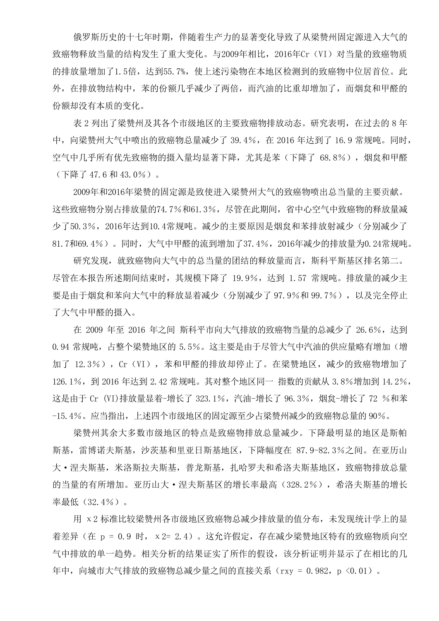俄罗斯历史的十七年时期,伴随着生产力的显著变化导致了从梁赞州固定源进入大气的 致癌物释放当量的结构发生了重大变化。与2009年相比, 2016年Cr (VI) 对当量的致癌物质 的排放量增加了1.5倍,达到55.7%,使上述污染物在本地区检测到的致癌物中位居首位。此 外,在排放物结构中,苯的份额几乎减少了两倍,而汽油的比重却增加了,而烟炱和甲醛的 份额却没有本质的变化。

表 2 列出了梁赞州及其各个市级地区的主要致癌物排放动态。研究表明,在过去的 8 年 中, 向梁赞州大气中喷出的致癌物总量减少了 39.4%, 在 2016 年达到了 16.9 常规吨。同时, 空气中几乎所有优先致癌物的摄入量均显著下降,尤其是苯(下降了 68.8%), 烟炱和甲醛 (下降了 47.6 和 43.0%)。

2009年和2016年梁赞的固定源是致使进入梁赞州大气的致癌物喷出总当量的主要贡献。 这些致癌物分别占排放量的74.7%和61.3%,尽管在此期间,省中心空气中致癌物的释放量减 少了50.3%,2016年达到10.4常规吨。减少的主要原因是烟炱和苯排放射减少(分别减少了 81.7和69.4%)。同时,大气中甲醛的流到增加了37.4%,2016年减少的排放量为0.24常规吨。

研究发现,就致癌物向大气中的总当量的团结的释放量而言,斯科平斯基区排名第二。 尽管在本报告所述期间结束时,其规模下降了 19.9%,达到 1.57 常规吨。排放量的减少主 要是由于烟炱和苯向大气中的释放显着减少(分别减少了 97.9%和 99.7%), 以及完全停止 了大气中甲醛的摄入。

在 2009 年至 2016 年之间 斯科平市向大气排放的致癌物当量的总减少了 26.6%,达到 0.94 常规吨,占整个梁赞地区的 5.5%。这主要是由于尽管大气中汽油的供应量略有增加(增 加了 12.3%), Cr (VI), 苯和甲醛的排放却停止了。在梁赞地区, 减少的致癌物增加了 126.1%,到 2016 年达到 2.42 常规吨。其对整个地区同一 指数的贡献从 3.8%增加到 14.2%, 这是由于 Cr (VI)排放量显着-增长了 323.1%, 汽油-增长了 96.3%, 烟炱-增长了 72 %和苯 -15.4%。应当指出,上述四个市级地区的固定源至少占梁赞州减少的致癌物总量的 90%。

梁赞州其余大多数市级地区的特点是致癌物排放总量减少。下降最明显的地区是斯帕 斯基,雷博诺夫斯基,沙茨基和里亚日斯基地区,下降幅度在 87.9-82.3%之间。在亚历山 大·涅夫斯基,米洛斯拉夫斯基,普龙斯基,扎哈罗夫和希洛夫斯基地区,致癌物排放总量 的当量的有所增加。亚历山大·涅夫斯基区的增长率最高(328.2%),希洛夫斯基的增长 率最低(32.4%)。

用 χ2 标准比较梁赞州各市级地区致癌物总减少排放量的值分布,未发现统计学上的显 着差异(在 p = 0.9 时, x 2= 2.4)。这允许假定,存在减少梁赞地区特有的致癌物质向空 气中排放的单一趋势。相关分析的结果证实了所作的假设,该分析证明并显示了在相比的几 年中,向城市大气排放的致癌物总减少量之间的直接关系(rxy = 0.982, p <0.01)。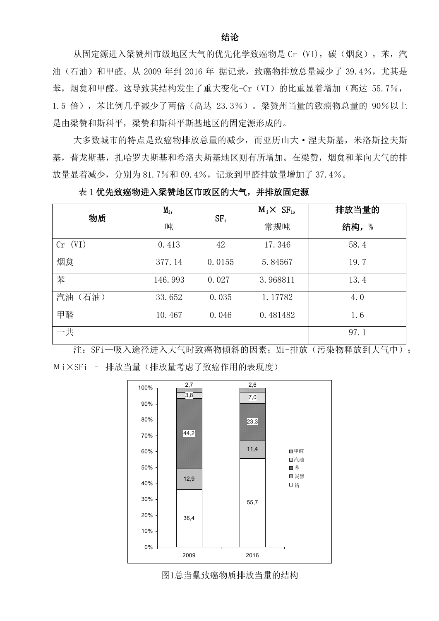## 结论

从固定源进入梁赞州市级地区大气的优先化学致癌物是 Cr (VI), 碳(烟炱), 苯, 汽 油(石油)和甲醛。从 2009年到 2016 年 据记录,致癌物排放总量减少了 39.4%, 尤其是 苯, 烟怠和甲醛。这导致其结构发生了重大变化-Cr (VI) 的比重显着增加 (高达 55.7%, 1.5 倍),苯比例几乎减少了两倍(高达 23.3%)。梁赞州当量的致癌物总量的 90%以上 是由梁赞和斯科平,梁赞和斯科平斯基地区的固定源形成的。

大多数城市的特点是致癌物排放总量的减少,而亚历山大·涅夫斯基,米洛斯拉夫斯 基,普龙斯基,扎哈罗夫斯基和希洛夫斯基地区则有所增加。在梁赞,烟炱和苯向大气的排 放量显着减少,分别为 81.7%和 69.4%,记录到甲醛排放量增加了 37.4%。

表 1 优先致癌物进入梁赞地区市政区的大气,并排放固定源

| 物质          | $M_i$   | SF <sub>1</sub> | $M_i \times SF_i$ | 排放当量的    |
|-------------|---------|-----------------|-------------------|----------|
|             | 吨       |                 | 常规吨               | 结构,<br>% |
| $Cr$ $(VI)$ | 0.413   | 42              | 17.346            | 58.4     |
| 烟炱          | 377.14  | 0.0155          | 5.84567           | 19.7     |
| 苯           | 146.993 | 0.027           | 3.968811          | 13.4     |
| 汽油<br>(石油)  | 33.652  | 0.035           | 1.17782           | 4.0      |
| 甲醛          | 10.467  | 0.046           | 0.481482          | 1.6      |
| 一共          |         |                 |                   | 97.1     |

注: SFi一吸入途径进入大气时致癌物倾斜的因素; Mi-排放(污染物释放到大气中); Мi×SFi – 排放当量(排放量考虑了致癌作用的表现度)



图1总当量致癌物质排放当量的结构